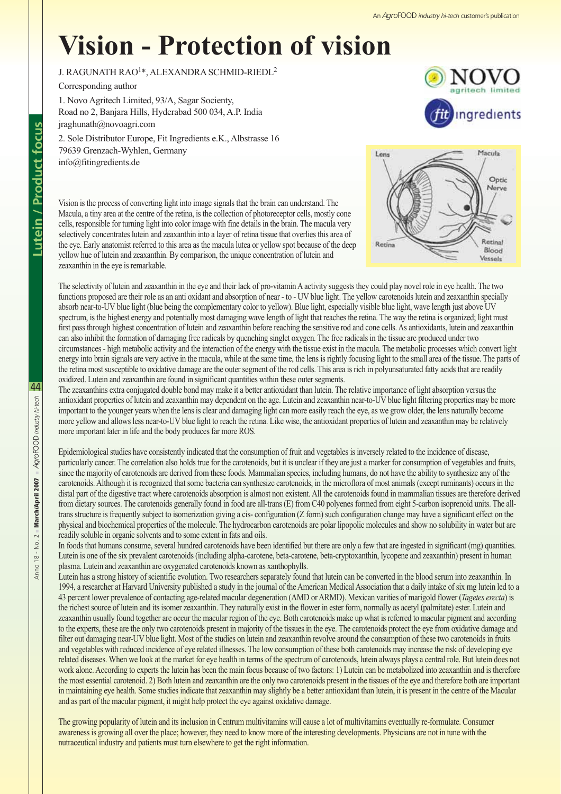## **Vision - Protection of vision**

## J. RAGUNATH RAO1\*, ALEXANDRA SCHMID-RIEDL2

Corresponding author

1. Novo Agritech Limited, 93/A, Sagar Socienty, Road no 2, Banjara Hills, Hyderabad 500 034, A.P. India jraghunath@novoagri.com 2. Sole Distributor Europe, Fit Ingredients e.K., Albstrasse 16 79639 Grenzach-Wyhlen, Germany

info@fitingredients.de





Vision is the process of converting light into image signals that the brain can understand. The Macula, a tiny area at the centre of the retina, is the collection of photoreceptor cells, mostly cone cells, responsible for turning light into color image with fine details in the brain. The macula very selectively concentrates lutein and zeaxanthin into a layer of retina tissue that overlies this area of the eye. Early anatomist referred to this area as the macula lutea or yellow spot because of the deep yellow hue of lutein and zeaxanthin. By comparison, the unique concentration of lutein and zeaxanthin in the eye is remarkable.

The selectivity of lutein and zeaxanthin in the eye and their lack of pro-vitamin A activity suggests they could play novel role in eye health. The two functions proposed are their role as an anti oxidant and absorption of near - to - UV blue light. The yellow carotenoids lutein and zeaxanthin specially absorb near-to-UV blue light (blue being the complementary color to yellow). Blue light, especially visible blue light, wave length just above UV spectrum, is the highest energy and potentially most damaging wave length of light that reaches the retina. The way the retina is organized; light must first pass through highest concentration of lutein and zeaxanthin before reaching the sensitive rod and cone cells. As antioxidants, lutein and zeaxanthin can also inhibit the formation of damaging free radicals by quenching singlet oxygen. The free radicals in the tissue are produced under two circumstances - high metabolic activity and the interaction of the energy with the tissue exist in the macula. The metabolic processes which convert light energy into brain signals are very active in the macula, while at the same time, the lens is rightly focusing light to the small area of the tissue. The parts of the retina most susceptible to oxidative damage are the outer segment of the rod cells. This area is rich in polyunsaturated fatty acids that are readily oxidized. Lutein and zeaxanthin are found in significant quantities within these outer segments.

The zeaxanthins extra conjugated double bond may make it a better antioxidant than lutein. The relative importance of light absorption versus the antioxidant properties of lutein and zeaxanthin may dependent on the age. Lutein and zeaxanthin near-to-UV blue light filtering properties may be more important to the younger years when the lens is clear and damaging light can more easily reach the eye, as we grow older, the lens naturally become more yellow and allows less near-to-UV blue light to reach the retina. Like wise, the antioxidant properties of lutein and zeaxanthin may be relatively more important later in life and the body produces far more ROS.

Epidemiological studies have consistently indicated that the consumption of fruit and vegetables is inversely related to the incidence of disease, particularly cancer. The correlation also holds true for the carotenoids, but it is unclear if they are just a marker for consumption of vegetables and fruits, since the majority of carotenoids are derived from these foods. Mammalian species, including humans, do not have the ability to synthesize any of the carotenoids. Although it is recognized that some bacteria can synthesize carotenoids, in the microflora of most animals (except ruminants) occurs in the distal part of the digestive tract where carotenoids absorption is almost non existent. All the carotenoids found in mammalian tissues are therefore derived from dietary sources. The carotenoids generally found in food are all-trans (E) from C40 polyenes formed from eight 5-carbon isoprenoid units. The alltrans structure is frequently subject to isomerization giving a cis- configuration (Z form) such configuration change may have a significant effect on the physical and biochemical properties of the molecule. The hydrocarbon carotenoids are polar lipopolic molecules and show no solubility in water but are readily soluble in organic solvents and to some extent in fats and oils.

In foods that humans consume, several hundred carotenoids have been identified but there are only a few that are ingested in significant (mg) quantities. Lutein is one of the six prevalent carotenoids (including alpha-carotene, beta-carotene, beta-cryptoxanthin, lycopene and zeaxanthin) present in human plasma. Lutein and zeaxanthin are oxygenated carotenoids known as xanthophylls.

Lutein has a strong history of scientific evolution. Two researchers separately found that lutein can be converted in the blood serum into zeaxanthin. In 1994, a researcher at Harvard University published a study in the journal of the American Medical Association that a daily intake of six mg lutein led to a 43 percent lower prevalence of contacting age-related macular degeneration (AMD or ARMD). Mexican varities of marigold flower (*Tagetes erecta*) is the richest source of lutein and its isomer zeaxanthin. They naturally exist in the flower in ester form, normally as acetyl (palmitate) ester. Lutein and zeaxanthin usually found together are occur the macular region of the eye. Both carotenoids make up what is referred to macular pigment and according to the experts, these are the only two carotenoids present in majority of the tissues in the eye. The carotenoids protect the eye from oxidative damage and filter out damaging near-UV blue light. Most of the studies on lutein and zeaxanthin revolve around the consumption of these two carotenoids in fruits and vegetables with reduced incidence of eye related illnesses. The low consumption of these both carotenoids may increase the risk of developing eye related diseases. When we look at the market for eye health in terms of the spectrum of carotenoids, lutein always plays a central role. But lutein does not work alone. According to experts the lutein has been the main focus because of two factors: 1) Lutein can be metabolized into zeaxanthin and is therefore the most essential carotenoid. 2) Both lutein and zeaxanthin are the only two carotenoids present in the tissues of the eye and therefore both are important in maintaining eye health. Some studies indicate that zeaxanthin may slightly be a better antioxidant than lutein, it is present in the centre of the Macular and as part of the macular pigment, it might help protect the eye against oxidative damage.

The growing popularity of lutein and its inclusion in Centrum multivitamins will cause a lot of multivitamins eventually re-formulate. Consumer awareness is growing all over the place; however, they need to know more of the interesting developments. Physicians are not in tune with the nutraceutical industry and patients must turn elsewhere to get the right information.

44